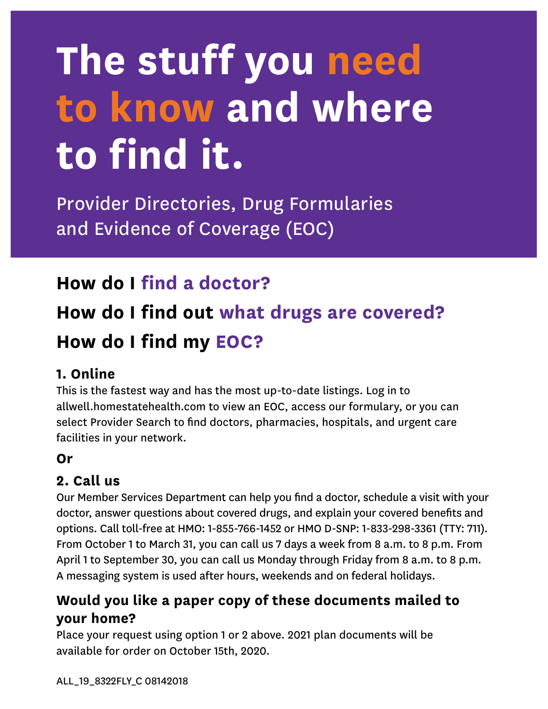# **The stuff you need to know and where to find it.**

Provider Directories, Drug Formularies and Evidence of Coverage (EOC)

### **How do I find a doctor?**

## **How do I find out what drugs are covered? How do I find my EOC?**

#### **1. Online**

This is the fastest way and has the most up-to-date listings. Log in to allwell.homestatehealth.com to view an EOC, access our formulary, or you can select Provider Search to find doctors, pharmacies, hospitals, and urgent care facilities in your network.

#### **Or**

#### **2. Call us**

Our Member Services Department can help you find a doctor, schedule a visit with your doctor, answer questions about covered drugs, and explain your covered benefits and options. Call toll-free at HMO: 1-855-766-1452 or HMO D-SNP: 1-833-298-3361 (TTY: 711). From October 1 to March 31, you can call us 7 days a week from 8 a.m. to 8 p.m. From April 1 to September 30, you can call us Monday through Friday from 8 a.m. to 8 p.m. A messaging system is used after hours, weekends and on federal holidays.

#### **Would you like a paper copy of these documents mailed to your home?**

Place your request using option 1 or 2 above. 2021 plan documents will be available for order on October 15th, 2020.